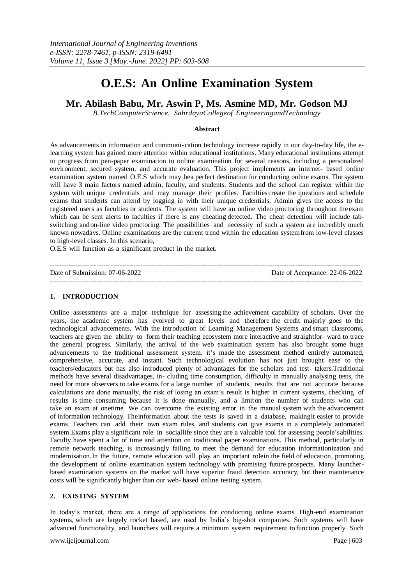# **O.E.S: An Online Examination System**

# **Mr. Abilash Babu, Mr. Aswin P, Ms. Asmine MD, Mr. Godson MJ**

*B.TechComputerScience, SahrdayaCollegeof EngineeringandTechnology*

#### **Abstract**

As advancements in information and communi-cation technology increase rapidly in our day-to-day life, the elearning system has gained more attention within educational institutions. Many educational institutions attempt to progress from pen-paper examination to online examination for several reasons, including a personalized environment, secured system, and accurate evaluation. This project implements an internet- based online examination system named O.E.S which may bea perfect destination for conducting online exams. The system will have 3 main factors named admin, faculty, and students. Students and the school can register within the system with unique credentials and may manage their profiles. Faculties create the questions and schedule exams that students can attend by logging in with their unique credentials. Admin gives the access to the registered users as faculties or students. The system will have an online video proctoring throughout theexam which can be sent alerts to faculties if there is any cheating detected. The cheat detection will include tabswitching andon-line video proctoring. The possibilities and necessity of such a system are incredibly much known nowadays. Online examinations are the current trend within the education systemfrom low-level classes to high-level classes. In this scenario,

O.E.S will function as a significant product in the market.

| Date of Submission: 07-06-2022 | Date of Acceptance: 22-06-2022 |
|--------------------------------|--------------------------------|
|                                |                                |

# **1. INTRODUCTION**

Online assessments are a major technique for assessing the achievement capability of scholars. Over the years, the academic system has evolved to great levels and therefore the credit majorly goes to the technological advancements. With the introduction of Learning Management Systems and smart classrooms, teachers are given the ability to form their teaching ecosystem more interactive and straightfor- ward to trace the general progress. Similarly, the arrival of the web examination system has also brought some huge advancements to the traditional assessment system. it's made the assessment method entirely automated, comprehensive, accurate, and instant. Such technological evolution has not just brought ease to the teachers/educators but has also introduced plenty of advantages for the scholars and test- takers.Traditional methods have several disadvantages, in- cluding time consumption, difficulty in manually analysing tests, the need for more observers to take exams for a large number of students, results that are not accurate because calculations are done manually, the risk of losing an exam's result is higher in current systems, checking of results is time consuming because it is done manually, and a limiton the number of students who can take an exam at onetime. We can overcome the existing error in the manual system with the advancement of information technology. Theinformation about the tests is saved in a database, makingit easier to provide exams. Teachers can add their own exam rules, and students can give exams in a completely automated system.Exams play a significant role in sociallife since they are a valuable tool for assessing people'sabilities. Faculty have spent a lot of time and attention on traditional paper examinations. This method, particularly in remote network teaching, is increasingly failing to meet the demand for education informationization and modernisation.In the future, remote education will play an important rolein the field of education, promoting the development of online examination system technology with promising future prospects. Many launcherbased examination systems on the market will have superior fraud detection accuracy, but their maintenance costs will be significantly higher than our web- based online testing system.

# **2. EXISTING SYSTEM**

In today's market, there are a range of applications for conducting online exams. High-end examination systems, which are largely rocket based, are used by India's big-shot companies. Such systems will have advanced functionality, and launchers will require a minimum system requirement to function properly. Such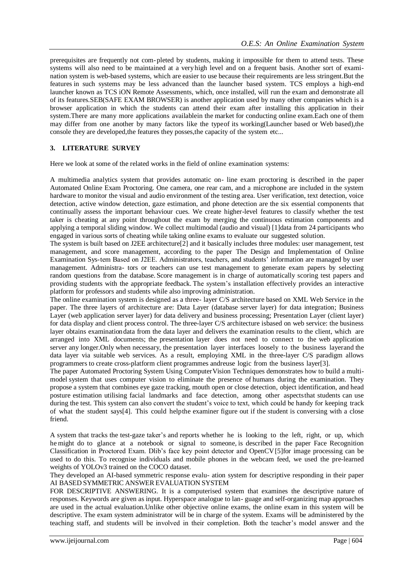prerequisites are frequently not com-pleted by students, making it impossible for them to attend tests. These systems will also need to be maintained at a very high level and on a frequent basis. Another sort of examination system is web-based systems, which are easier to use because their requirements are less stringent.But the features in such systems may be less advanced than the launcher based system. TCS employs a high-end launcher known as TCS iON Remote Assessments, which, once installed, will run the exam and demonstrate all of its features.SEB(SAFE EXAM BROWSER) is another application used by many other companies which is a browser application in which the students can attend their exam after installing this application in their system.There are many more applications availablein the market for conducting online exam.Each one of them may differ from one another by many factors like the typeof its working(Launcher based or Web based),the console they are developed,the features they posses,the capacity of the system etc...

# **3. LITERATURE SURVEY**

Here we look at some of the related works in the field of online examination systems:

A multimedia analytics system that provides automatic on- line exam proctoring is described in the paper Automated Online Exam Proctoring. One camera, one rear cam, and a microphone are included in the system hardware to monitor the visual and audio environment of the testing area. User verification, text detection, voice detection, active window detection, gaze estimation, and phone detection are the six essential components that continually assess the important behaviour cues. We create higher-level features to classify whether the test taker is cheating at any point throughout the exam by merging the continuous estimation components and applying a temporal sliding window. We collect multimodal (audio and visual) [1]data from 24 participants who engaged in various sorts of cheating while taking online exams to evaluate our suggested solution.

The system is built based on J2EE architecture[2] and it basically includes three modules: user management, test management, and score management, according to the paper The Design and Implementation of Online Examination Sys-tem Based on J2EE. Administrators, teachers, and students' information are managed by user management. Administra- tors or teachers can use test management to generate exam papers by selecting random questions from the database. Score management is in charge of automatically scoring test papers and providing students with the appropriate feedback. The system's installation effectively provides an interactive platform for professors and students while also improving administration.

The online examination system is designed as a three- layer C/S architecture based on XML Web Service in the paper. The three layers of architecture are: Data Layer (database server layer) for data integration; Business Layer (web application server layer) for data delivery and business processing; Presentation Layer (client layer) for data display and client process control. The three-layer C/S architecture isbased on web service: the business layer obtains examinationdata from the data layer and delivers the examination results to the client, which are arranged into XML documents; the presentation layer does not need to connect to the web application server any longer.Only when necessary, the presentation layer interfaces loosely to the business layerand the data layer via suitable web services. As a result, employing XML in the three-layer C/S paradigm allows programmers to create cross-platform client programmes andreuse logic from the business layer[3].

The paper Automated Proctoring System Using ComputerVision Techniques demonstrates how to build a multimodel system that uses computer vision to eliminate the presence of humans during the examination. They propose a system that combines eye gaze tracking, mouth open or close detection, object identification, and head posture estimation utilising facial landmarks and face detection, among other aspectsthat students can use during the test. This system can also convert the student's voice to text, which could be handy for keeping track of what the student says[4]. This could helpthe examiner figure out if the student is conversing with a close friend.

A system that tracks the test-gaze taker's and reports whether he is looking to the left, right, or up, which he might do to glance at a notebook or signal to someone, is described in the paper Face Recognition Classification in Proctored Exam. Dlib's face key point detector and OpenCV[5]for image processing can be used to do this. To recognise individuals and mobile phones in the webcam feed, we used the pre-learned weights of YOLOv3 trained on the COCO dataset.

They developed an AI-based symmetric response evalu- ation system for descriptive responding in their paper AI BASED SYMMETRIC ANSWER EVALUATION SYSTEM

FOR DESCRIPTIVE ANSWERING. It is a computerised system that examines the descriptive nature of responses. Keywords are given as input. Hyperspace analogue to lan- guage and self-organizing map approaches are used in the actual evaluation.Unlike other objective online exams, the online exam in this system will be descriptive. The exam system administrator will be in charge of the system. Exams will be administered by the teaching staff, and students will be involved in their completion. Both the teacher's model answer and the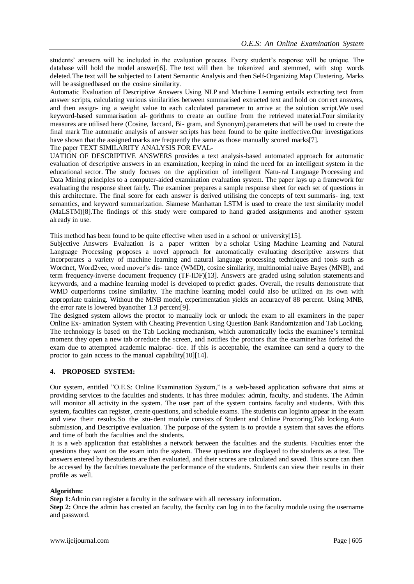students' answers will be included in the evaluation process. Every student's response will be unique. The database will hold the model answer[6]. The text will then be tokenized and stemmed, with stop words deleted.The text will be subjected to Latent Semantic Analysis and then Self-Organizing Map Clustering. Marks will be assignedbased on the cosine similarity.

Automatic Evaluation of Descriptive Answers Using NLP and Machine Learning entails extracting text from answer scripts, calculating various similarities between summarised extracted text and hold on correct answers, and then assign- ing a weight value to each calculated parameter to arrive at the solution script.We used keyword-based summarisation al- gorithms to create an outline from the retrieved material.Four similarity measures are utilised here (Cosine, Jaccard, Bi- gram, and Synonym).parameters that will be used to create the final mark The automatic analysis of answer scripts has been found to be quite ineffective.Our investigations have shown that the assigned marks are frequently the same as those manually scored marks[7].

#### The paper TEXT SIMILARITY ANALYSIS FOR EVAL-

UATION OF DESCRIPTIVE ANSWERS provides a text analysis-based automated approach for automatic evaluation of descriptive answers in an examination, keeping in mind the need for an intelligent system in the educational sector. The study focuses on the application of intelligent Natu-ral Language Processing and Data Mining principles to a computer-aided examination evaluation system. The paper lays up a framework for evaluating the response sheet fairly. The examiner prepares a sample response sheet for each set of questions in this architecture. The final score for each answer is derived utilising the concepts of text summaris- ing, text semantics, and keyword summarization. Siamese Manhattan LSTM is used to create the text similarity model (MaLSTM)[8].The findings of this study were compared to hand graded assignments and another system already in use.

This method has been found to be quite effective when used in a school or university[15].

Subjective Answers Evaluation is a paper written by a scholar Using Machine Learning and Natural Language Processing proposes a novel approach for automatically evaluating descriptive answers that incorporates a variety of machine learning and natural language processing techniques and tools such as Wordnet, Word2vec, word mover's dis- tance (WMD), cosine similarity, multinomial naive Bayes (MNB), and term frequency-inverse document frequency (TF-IDF)[13]. Answers are graded using solution statements and keywords, and a machine learning model is developed to predict grades. Overall, the results demonstrate that WMD outperforms cosine similarity. The machine learning model could also be utilized on its own with appropriate training. Without the MNB model, experimentation yields an accuracyof 88 percent. Using MNB, the error rate is lowered byanother 1.3 percent[9].

The designed system allows the proctor to manually lock or unlock the exam to all examiners in the paper Online Ex- amination System with Cheating Prevention Using Question Bank Randomization and Tab Locking. The technology is based on the Tab Locking mechanism, which automatically locks the examinee's terminal moment they open a new tab orreduce the screen, and notifies the proctors that the examiner has forfeited the exam due to attempted academic malprac- tice. If this is acceptable, the examinee can send a query to the proctor to gain access to the manual capability[10][14].

# **4. PROPOSED SYSTEM:**

Our system, entitled "O.E.S: Online Examination System," is a web-based application software that aims at providing services to the faculties and students. It has three modules: admin, faculty, and students. The Admin will monitor all activity in the system. The user part of the system contains faculty and students. With this system, faculties can register, create questions, and schedule exams. The students can loginto appear in the exam and view their results.So the stu-dent module consists of Student and Online Proctoring,Tab locking,Auto submission, and Descriptive evaluation. The purpose of the system is to provide a system that saves the efforts and time of both the faculties and the students.

It is a web application that establishes a network between the faculties and the students. Faculties enter the questions they want on the exam into the system. These questions are displayed to the students as a test. The answers entered by thestudents are then evaluated, and their scores are calculated and saved. This score can then be accessed by the faculties toevaluate the performance of the students. Students can view their results in their profile as well.

#### **Algorithm:**

**Step 1:**Admin can register a faculty in the software with all necessary information.

**Step 2:** Once the admin has created an faculty, the faculty can log in to the faculty module using the username and password.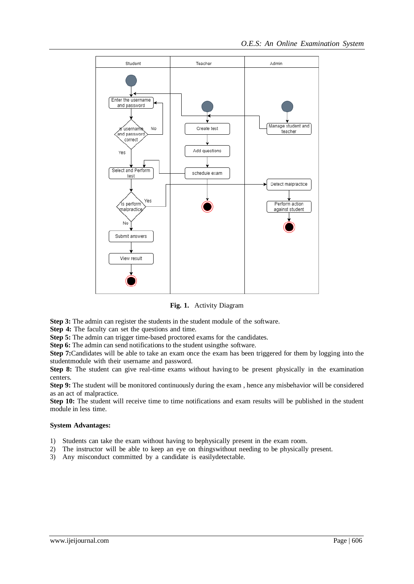

**Fig. 1.** Activity Diagram

**Step 3:** The admin can register the students in the student module of the software.

**Step 4:** The faculty can set the questions and time.

**Step 5:** The admin can trigger time-based proctored exams for the candidates.

**Step 6:** The admin can send notifications to the student usingthe software.

**Step 7:**Candidates will be able to take an exam once the exam has been triggered for them by logging into the studentmodule with their username and password.

**Step 8:** The student can give real-time exams without having to be present physically in the examination centers.

**Step 9:** The student will be monitored continuously during the exam, hence any misbehavior will be considered as an act of malpractice.

**Step 10:** The student will receive time to time notifications and exam results will be published in the student module in less time.

#### **System Advantages:**

- 1) Students can take the exam without having to bephysically present in the exam room.
- 2) The instructor will be able to keep an eye on thingswithout needing to be physically present.
- 3) Any misconduct committed by a candidate is easilydetectable.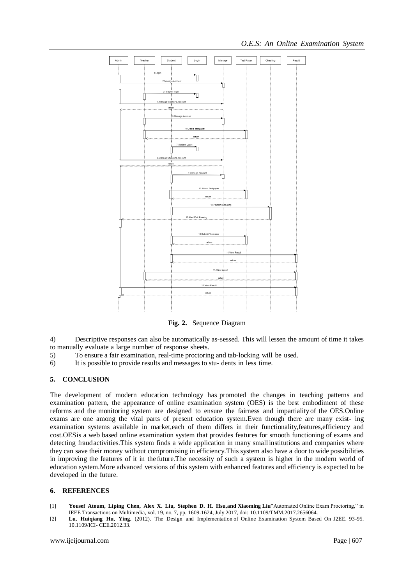

**Fig. 2.** Sequence Diagram

4) Descriptive responses can also be automatically as-sessed. This will lessen the amount of time it takes to manually evaluate a large number of response sheets.

- 5) To ensure a fair examination, real-time proctoring and tab-locking will be used.
- 6) It is possible to provide results and messages to stu- dents in less time.

# **5. CONCLUSION**

The development of modern education technology has promoted the changes in teaching patterns and examination pattern, the appearance of online examination system (OES) is the best embodiment of these reforms and the monitoring system are designed to ensure the fairness and impartialityof the OES.Online exams are one among the vital parts of present education system.Even though there are many exist- ing examination systems available in market,each of them differs in their functionality,features,efficiency and cost.OESis a web based online examination system that provides features for smooth functioning of exams and detecting fraudactivities.This system finds a wide application in many small institutions and companies where they can save their money without compromising in efficiency.This system also have a door to wide possibilities in improving the features of it in the future.The necessity of such a system is higher in the modern world of education system.More advanced versions of this system with enhanced features and efficiency is expected to be developed in the future.

#### **6. REFERENCES**

- [1] **Yousef Atoum, Liping Chen, Alex X. Liu, Stephen D. H. Hsu,and Xiaoming Liu**"Automated Online Exam Proctoring," in IEEE Transactions on Multimedia, vol. 19, no. 7, pp. 1609-1624, July 2017, doi: 10.1109/TMM.2017.2656064.
- [2] **Lu, Huiqiang Hu, Ying.** (2012). The Design and Implementation of Online Examination System Based On J2EE. 93-95. 10.1109/ICI- CEE.2012.33.